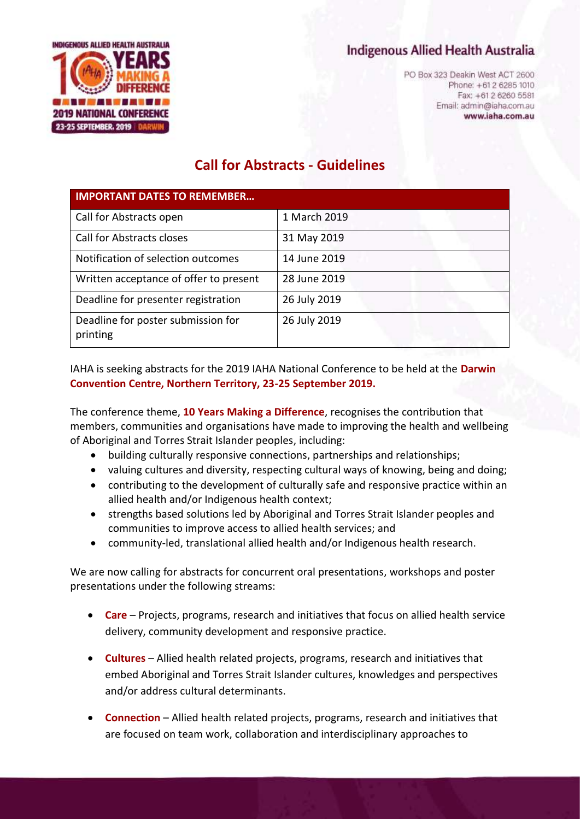## Indigenous Allied Health Australia



PO Box 323 Deakin West ACT 2600 Phone: +61 2 6285 1010 Fax: +61 2 6260 5581 Email: admin@iaha.com.au www.iaha.com.au

# **Call for Abstracts - Guidelines**

| <b>IMPORTANT DATES TO REMEMBER</b>             |              |
|------------------------------------------------|--------------|
| Call for Abstracts open                        | 1 March 2019 |
| <b>Call for Abstracts closes</b>               | 31 May 2019  |
| Notification of selection outcomes             | 14 June 2019 |
| Written acceptance of offer to present         | 28 June 2019 |
| Deadline for presenter registration            | 26 July 2019 |
| Deadline for poster submission for<br>printing | 26 July 2019 |

IAHA is seeking abstracts for the 2019 IAHA National Conference to be held at the **Darwin Convention Centre, Northern Territory, 23-25 September 2019.**

The conference theme, **10 Years Making a Difference**, recognises the contribution that members, communities and organisations have made to improving the health and wellbeing of Aboriginal and Torres Strait Islander peoples, including:

- building culturally responsive connections, partnerships and relationships;
- valuing cultures and diversity, respecting cultural ways of knowing, being and doing;
- contributing to the development of culturally safe and responsive practice within an allied health and/or Indigenous health context;
- strengths based solutions led by Aboriginal and Torres Strait Islander peoples and communities to improve access to allied health services; and
- community-led, translational allied health and/or Indigenous health research.

We are now calling for abstracts for concurrent oral presentations, workshops and poster presentations under the following streams:

- **Care** Projects, programs, research and initiatives that focus on allied health service delivery, community development and responsive practice.
- **Cultures** Allied health related projects, programs, research and initiatives that embed Aboriginal and Torres Strait Islander cultures, knowledges and perspectives and/or address cultural determinants.
- **Connection** Allied health related projects, programs, research and initiatives that are focused on team work, collaboration and interdisciplinary approaches to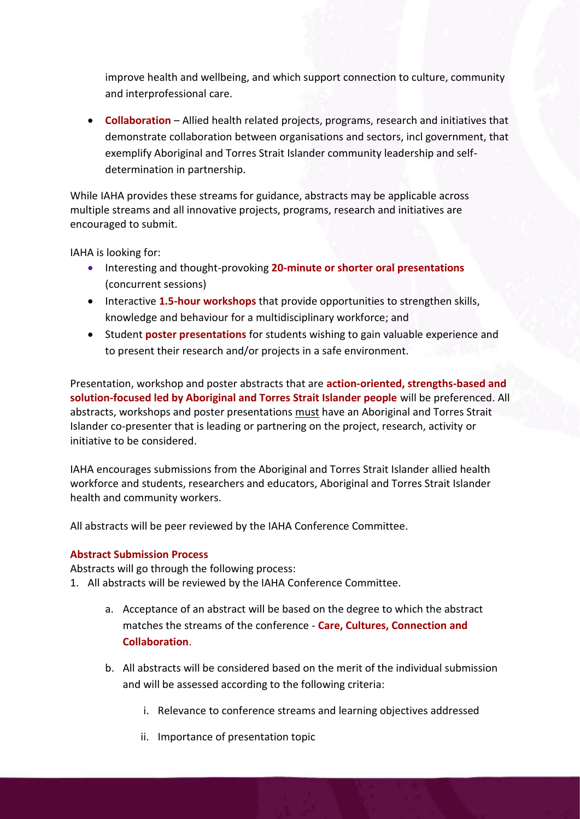improve health and wellbeing, and which support connection to culture, community and interprofessional care.

• **Collaboration** – Allied health related projects, programs, research and initiatives that demonstrate collaboration between organisations and sectors, incl government, that exemplify Aboriginal and Torres Strait Islander community leadership and selfdetermination in partnership.

While IAHA provides these streams for guidance, abstracts may be applicable across multiple streams and all innovative projects, programs, research and initiatives are encouraged to submit.

IAHA is looking for:

- Interesting and thought-provoking **20-minute or shorter oral presentations**  (concurrent sessions)
- Interactive **1.5-hour workshops** that provide opportunities to strengthen skills, knowledge and behaviour for a multidisciplinary workforce; and
- Student **poster presentations** for students wishing to gain valuable experience and to present their research and/or projects in a safe environment.

Presentation, workshop and poster abstracts that are **action-oriented, strengths-based and solution-focused led by Aboriginal and Torres Strait Islander people** will be preferenced. All abstracts, workshops and poster presentations must have an Aboriginal and Torres Strait Islander co-presenter that is leading or partnering on the project, research, activity or initiative to be considered.

IAHA encourages submissions from the Aboriginal and Torres Strait Islander allied health workforce and students, researchers and educators, Aboriginal and Torres Strait Islander health and community workers.

All abstracts will be peer reviewed by the IAHA Conference Committee.

## **Abstract Submission Process**

Abstracts will go through the following process:

- 1. All abstracts will be reviewed by the IAHA Conference Committee.
	- a. Acceptance of an abstract will be based on the degree to which the abstract matches the streams of the conference - **Care, Cultures, Connection and Collaboration**.
	- b. All abstracts will be considered based on the merit of the individual submission and will be assessed according to the following criteria:
		- i. Relevance to conference streams and learning objectives addressed
		- ii. Importance of presentation topic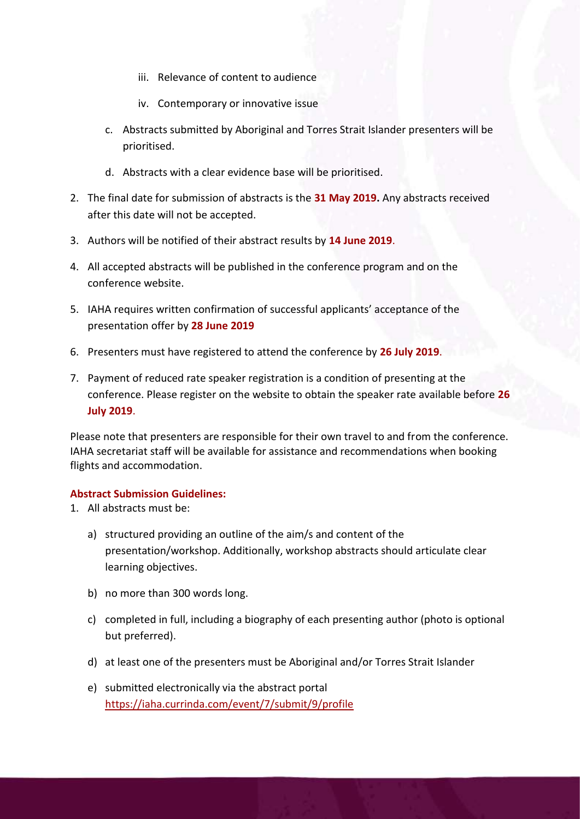- iii. Relevance of content to audience
- iv. Contemporary or innovative issue
- c. Abstracts submitted by Aboriginal and Torres Strait Islander presenters will be prioritised.
- d. Abstracts with a clear evidence base will be prioritised.
- 2. The final date for submission of abstracts is the **31 May 2019.** Any abstracts received after this date will not be accepted.
- 3. Authors will be notified of their abstract results by **14 June 2019**.
- 4. All accepted abstracts will be published in the conference program and on the conference website.
- 5. IAHA requires written confirmation of successful applicants' acceptance of the presentation offer by **28 June 2019**
- 6. Presenters must have registered to attend the conference by **26 July 2019**.
- 7. Payment of reduced rate speaker registration is a condition of presenting at the conference. Please register on the website to obtain the speaker rate available before **26 July 2019**.

Please note that presenters are responsible for their own travel to and from the conference. IAHA secretariat staff will be available for assistance and recommendations when booking flights and accommodation.

#### **Abstract Submission Guidelines:**

- 1. All abstracts must be:
	- a) structured providing an outline of the aim/s and content of the presentation/workshop. Additionally, workshop abstracts should articulate clear learning objectives.
	- b) no more than 300 words long.
	- c) completed in full, including a biography of each presenting author (photo is optional but preferred).
	- d) at least one of the presenters must be Aboriginal and/or Torres Strait Islander
	- e) submitted electronically via [the](http://the/) abstract portal <https://iaha.currinda.com/event/7/submit/9/profile>